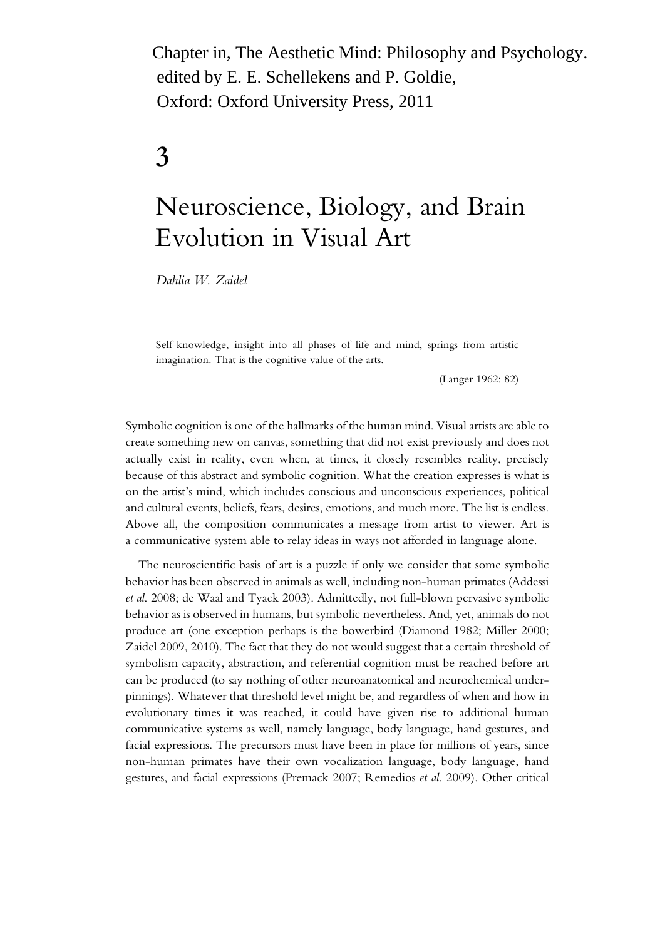Chapter in, The Aesthetic Mind: Philosophy and Psychology. edited by E. E. Schellekens and P. Goldie, Oxford: Oxford University Press, 2011

## 3

# Neuroscience, Biology, and Brain Evolution in Visual Art

Dahlia W. Zaidel

Self-knowledge, insight into all phases of life and mind, springs from artistic imagination. That is the cognitive value of the arts.

(Langer 1962: 82)

Symbolic cognition is one of the hallmarks of the human mind. Visual artists are able to create something new on canvas, something that did not exist previously and does not actually exist in reality, even when, at times, it closely resembles reality, precisely because of this abstract and symbolic cognition. What the creation expresses is what is on the artist's mind, which includes conscious and unconscious experiences, political and cultural events, beliefs, fears, desires, emotions, and much more. The list is endless. Above all, the composition communicates a message from artist to viewer. Art is a communicative system able to relay ideas in ways not afforded in language alone.

The neuroscientific basis of art is a puzzle if only we consider that some symbolic behavior has been observed in animals as well, including non-human primates (Addessi et al. 2008; de Waal and Tyack 2003). Admittedly, not full-blown pervasive symbolic behavior as is observed in humans, but symbolic nevertheless. And, yet, animals do not produce art (one exception perhaps is the bowerbird (Diamond 1982; Miller 2000; Zaidel 2009, 2010). The fact that they do not would suggest that a certain threshold of symbolism capacity, abstraction, and referential cognition must be reached before art can be produced (to say nothing of other neuroanatomical and neurochemical underpinnings). Whatever that threshold level might be, and regardless of when and how in evolutionary times it was reached, it could have given rise to additional human communicative systems as well, namely language, body language, hand gestures, and facial expressions. The precursors must have been in place for millions of years, since non-human primates have their own vocalization language, body language, hand gestures, and facial expressions (Premack 2007; Remedios et al. 2009). Other critical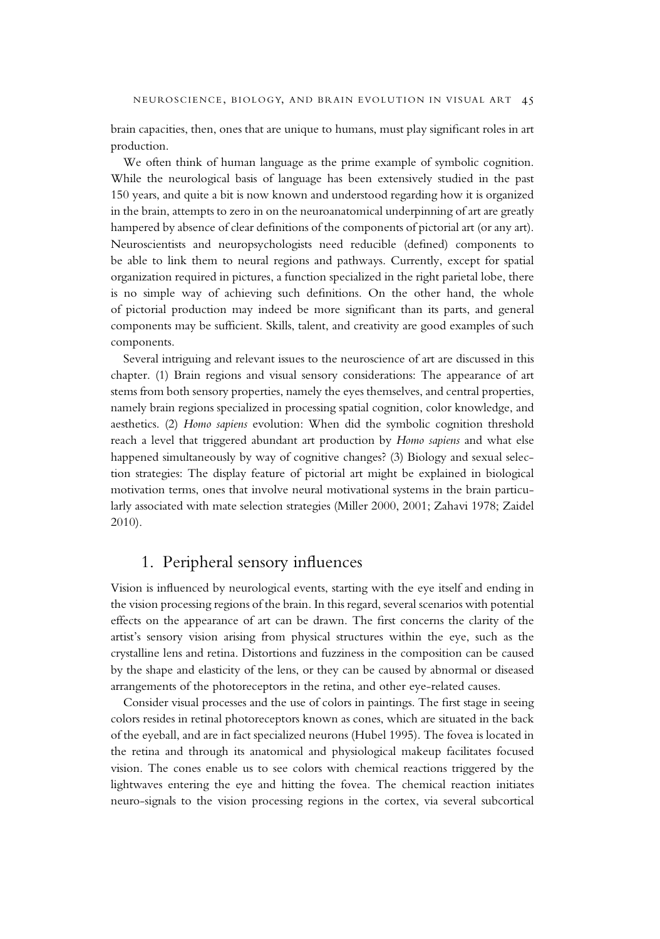brain capacities, then, ones that are unique to humans, must play significant roles in art production.

We often think of human language as the prime example of symbolic cognition. While the neurological basis of language has been extensively studied in the past 150 years, and quite a bit is now known and understood regarding how it is organized in the brain, attempts to zero in on the neuroanatomical underpinning of art are greatly hampered by absence of clear definitions of the components of pictorial art (or any art). Neuroscientists and neuropsychologists need reducible (defined) components to be able to link them to neural regions and pathways. Currently, except for spatial organization required in pictures, a function specialized in the right parietal lobe, there is no simple way of achieving such definitions. On the other hand, the whole of pictorial production may indeed be more significant than its parts, and general components may be sufficient. Skills, talent, and creativity are good examples of such components.

Several intriguing and relevant issues to the neuroscience of art are discussed in this chapter. (1) Brain regions and visual sensory considerations: The appearance of art stems from both sensory properties, namely the eyes themselves, and central properties, namely brain regions specialized in processing spatial cognition, color knowledge, and aesthetics. (2) Homo sapiens evolution: When did the symbolic cognition threshold reach a level that triggered abundant art production by Homo sapiens and what else happened simultaneously by way of cognitive changes? (3) Biology and sexual selection strategies: The display feature of pictorial art might be explained in biological motivation terms, ones that involve neural motivational systems in the brain particularly associated with mate selection strategies (Miller 2000, 2001; Zahavi 1978; Zaidel 2010).

## 1. Peripheral sensory influences

Vision is influenced by neurological events, starting with the eye itself and ending in the vision processing regions of the brain. In this regard, several scenarios with potential effects on the appearance of art can be drawn. The first concerns the clarity of the artist's sensory vision arising from physical structures within the eye, such as the crystalline lens and retina. Distortions and fuzziness in the composition can be caused by the shape and elasticity of the lens, or they can be caused by abnormal or diseased arrangements of the photoreceptors in the retina, and other eye-related causes.

Consider visual processes and the use of colors in paintings. The first stage in seeing colors resides in retinal photoreceptors known as cones, which are situated in the back of the eyeball, and are in fact specialized neurons (Hubel 1995). The fovea is located in the retina and through its anatomical and physiological makeup facilitates focused vision. The cones enable us to see colors with chemical reactions triggered by the lightwaves entering the eye and hitting the fovea. The chemical reaction initiates neuro-signals to the vision processing regions in the cortex, via several subcortical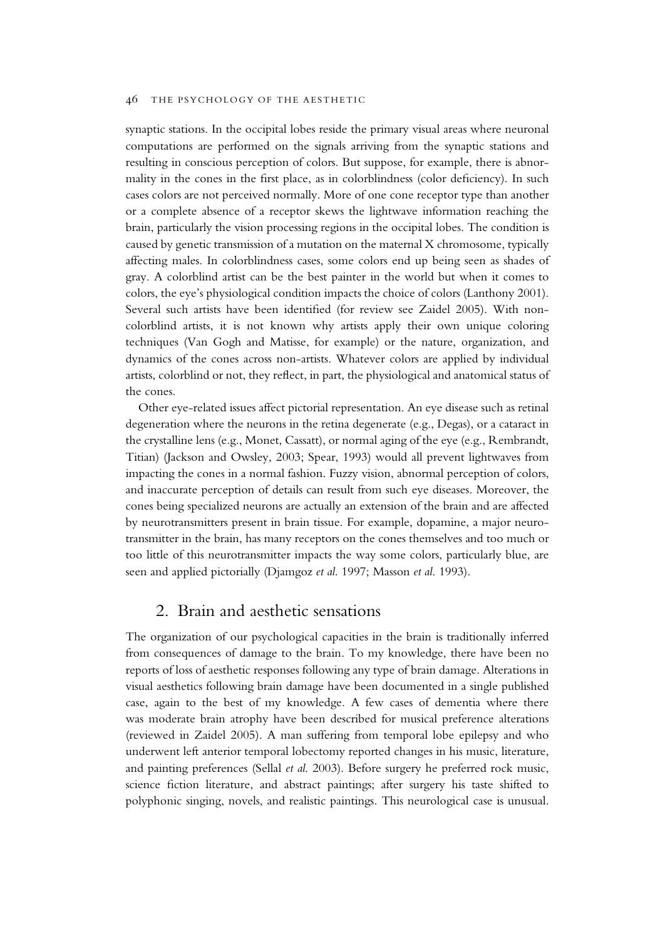#### 46 THE PSYCHOLOGY OF THE AESTHETIC

synaptic stations. In the occipital lobes reside the primary visual areas where neuronal computations are performed on the signals arriving from the synaptic stations and resulting in conscious perception of colors. But suppose, for example, there is abnormality in the cones in the first place, as in colorblindness (color deficiency). In such cases colors are not perceived normally. More of one cone receptor type than another or a complete absence of a receptor skews the lightwave information reaching the brain, particularly the vision processing regions in the occipital lobes. The condition is caused by genetic transmission of a mutation on the maternal X chromosome, typically affecting males. In colorblindness cases, some colors end up being seen as shades of gray. A colorblind artist can be the best painter in the world but when it comes to colors, the eye's physiological condition impacts the choice of colors (Lanthony 2001). Several such artists have been identified (for review see Zaidel 2005). With noncolorblind artists, it is not known why artists apply their own unique coloring techniques (Van Gogh and Matisse, for example) or the nature, organization, and dynamics of the cones across non-artists. Whatever colors are applied by individual artists, colorblind or not, they reflect, in part, the physiological and anatomical status of the cones.

Other eye-related issues affect pictorial representation. An eye disease such as retinal degeneration where the neurons in the retina degenerate (e.g., Degas), or a cataract in the crystalline lens (e.g., Monet, Cassatt), or normal aging of the eye (e.g., Rembrandt, Titian) (Jackson and Owsley, 2003; Spear, 1993) would all prevent lightwaves from impacting the cones in a normal fashion. Fuzzy vision, abnormal perception of colors, and inaccurate perception of details can result from such eye diseases. Moreover, the cones being specialized neurons are actually an extension of the brain and are affected by neurotransmitters present in brain tissue. For example, dopamine, a major neurotransmitter in the brain, has many receptors on the cones themselves and too much or too little of this neurotransmitter impacts the way some colors, particularly blue, are seen and applied pictorially (Djamgoz et al. 1997; Masson et al. 1993).

## 2. Brain and aesthetic sensations

The organization of our psychological capacities in the brain is traditionally inferred from consequences of damage to the brain. To my knowledge, there have been no reports of loss of aesthetic responses following any type of brain damage. Alterations in visual aesthetics following brain damage have been documented in a single published case, again to the best of my knowledge. A few cases of dementia where there was moderate brain atrophy have been described for musical preference alterations (reviewed in Zaidel 2005). A man suffering from temporal lobe epilepsy and who underwent left anterior temporal lobectomy reported changes in his music, literature, and painting preferences (Sellal et al. 2003). Before surgery he preferred rock music, science fiction literature, and abstract paintings; after surgery his taste shifted to polyphonic singing, novels, and realistic paintings. This neurological case is unusual.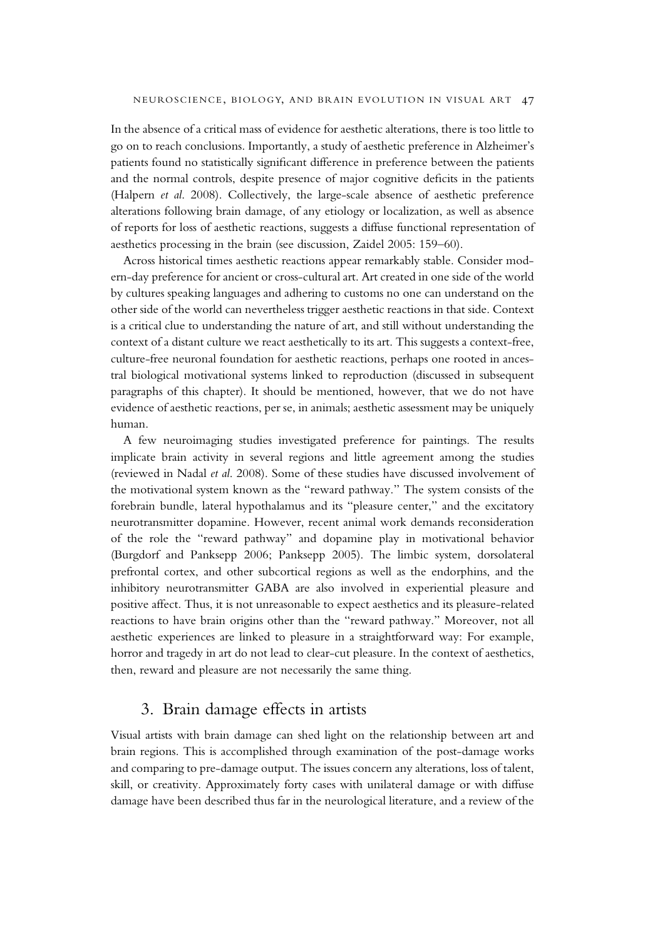In the absence of a critical mass of evidence for aesthetic alterations, there is too little to go on to reach conclusions. Importantly, a study of aesthetic preference in Alzheimer's patients found no statistically significant difference in preference between the patients and the normal controls, despite presence of major cognitive deficits in the patients (Halpern et al. 2008). Collectively, the large-scale absence of aesthetic preference alterations following brain damage, of any etiology or localization, as well as absence of reports for loss of aesthetic reactions, suggests a diffuse functional representation of aesthetics processing in the brain (see discussion, Zaidel 2005: 159–60).

Across historical times aesthetic reactions appear remarkably stable. Consider modern-day preference for ancient or cross-cultural art. Art created in one side of the world by cultures speaking languages and adhering to customs no one can understand on the other side of the world can nevertheless trigger aesthetic reactions in that side. Context is a critical clue to understanding the nature of art, and still without understanding the context of a distant culture we react aesthetically to its art. This suggests a context-free, culture-free neuronal foundation for aesthetic reactions, perhaps one rooted in ancestral biological motivational systems linked to reproduction (discussed in subsequent paragraphs of this chapter). It should be mentioned, however, that we do not have evidence of aesthetic reactions, per se, in animals; aesthetic assessment may be uniquely human.

A few neuroimaging studies investigated preference for paintings. The results implicate brain activity in several regions and little agreement among the studies (reviewed in Nadal et al. 2008). Some of these studies have discussed involvement of the motivational system known as the "reward pathway." The system consists of the forebrain bundle, lateral hypothalamus and its "pleasure center," and the excitatory neurotransmitter dopamine. However, recent animal work demands reconsideration of the role the "reward pathway" and dopamine play in motivational behavior (Burgdorf and Panksepp 2006; Panksepp 2005). The limbic system, dorsolateral prefrontal cortex, and other subcortical regions as well as the endorphins, and the inhibitory neurotransmitter GABA are also involved in experiential pleasure and positive affect. Thus, it is not unreasonable to expect aesthetics and its pleasure-related reactions to have brain origins other than the "reward pathway." Moreover, not all aesthetic experiences are linked to pleasure in a straightforward way: For example, horror and tragedy in art do not lead to clear-cut pleasure. In the context of aesthetics, then, reward and pleasure are not necessarily the same thing.

## 3. Brain damage effects in artists

Visual artists with brain damage can shed light on the relationship between art and brain regions. This is accomplished through examination of the post-damage works and comparing to pre-damage output. The issues concern any alterations, loss of talent, skill, or creativity. Approximately forty cases with unilateral damage or with diffuse damage have been described thus far in the neurological literature, and a review of the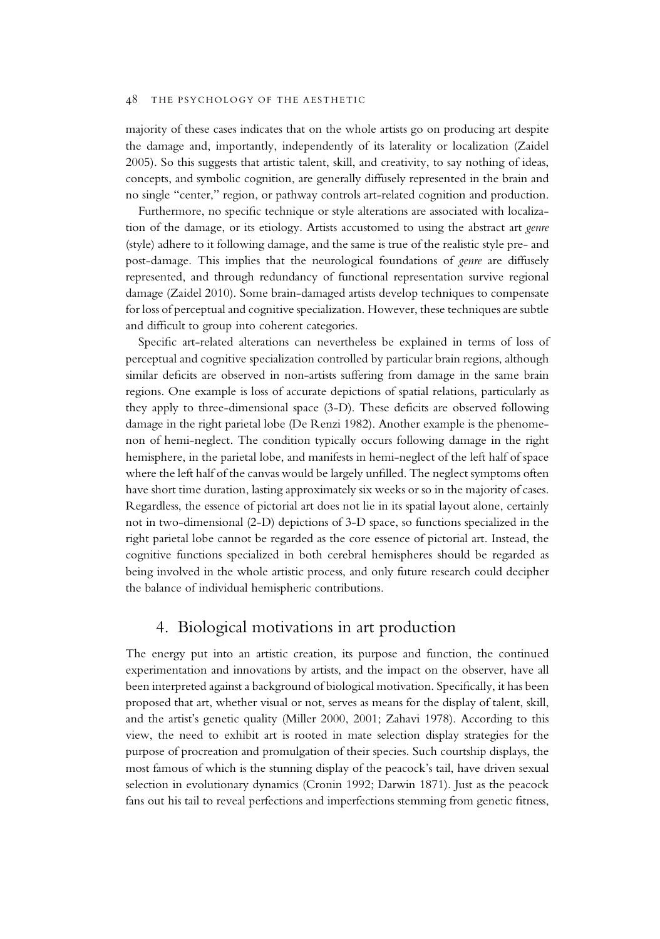#### 48 THE PSYCHOLOGY OF THE AESTHETIC

majority of these cases indicates that on the whole artists go on producing art despite the damage and, importantly, independently of its laterality or localization (Zaidel 2005). So this suggests that artistic talent, skill, and creativity, to say nothing of ideas, concepts, and symbolic cognition, are generally diffusely represented in the brain and no single "center," region, or pathway controls art-related cognition and production.

Furthermore, no specific technique or style alterations are associated with localization of the damage, or its etiology. Artists accustomed to using the abstract art genre (style) adhere to it following damage, and the same is true of the realistic style pre- and post-damage. This implies that the neurological foundations of genre are diffusely represented, and through redundancy of functional representation survive regional damage (Zaidel 2010). Some brain-damaged artists develop techniques to compensate for loss of perceptual and cognitive specialization. However, these techniques are subtle and difficult to group into coherent categories.

Specific art-related alterations can nevertheless be explained in terms of loss of perceptual and cognitive specialization controlled by particular brain regions, although similar deficits are observed in non-artists suffering from damage in the same brain regions. One example is loss of accurate depictions of spatial relations, particularly as they apply to three-dimensional space (3-D). These deficits are observed following damage in the right parietal lobe (De Renzi 1982). Another example is the phenomenon of hemi-neglect. The condition typically occurs following damage in the right hemisphere, in the parietal lobe, and manifests in hemi-neglect of the left half of space where the left half of the canvas would be largely unfilled. The neglect symptoms often have short time duration, lasting approximately six weeks or so in the majority of cases. Regardless, the essence of pictorial art does not lie in its spatial layout alone, certainly not in two-dimensional (2-D) depictions of 3-D space, so functions specialized in the right parietal lobe cannot be regarded as the core essence of pictorial art. Instead, the cognitive functions specialized in both cerebral hemispheres should be regarded as being involved in the whole artistic process, and only future research could decipher the balance of individual hemispheric contributions.

## 4. Biological motivations in art production

The energy put into an artistic creation, its purpose and function, the continued experimentation and innovations by artists, and the impact on the observer, have all been interpreted against a background of biological motivation. Specifically, it has been proposed that art, whether visual or not, serves as means for the display of talent, skill, and the artist's genetic quality (Miller 2000, 2001; Zahavi 1978). According to this view, the need to exhibit art is rooted in mate selection display strategies for the purpose of procreation and promulgation of their species. Such courtship displays, the most famous of which is the stunning display of the peacock's tail, have driven sexual selection in evolutionary dynamics (Cronin 1992; Darwin 1871). Just as the peacock fans out his tail to reveal perfections and imperfections stemming from genetic fitness,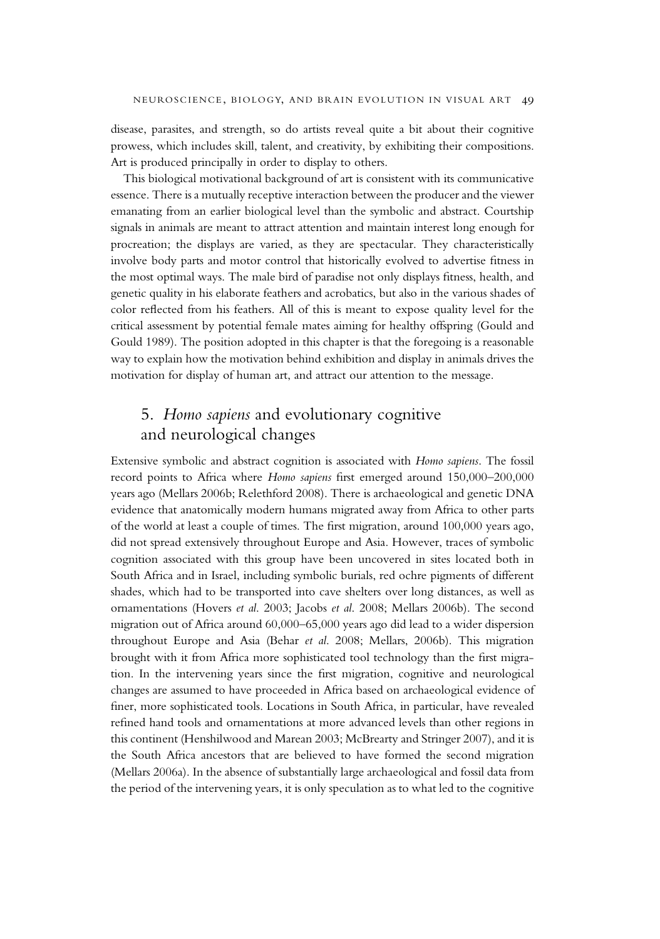disease, parasites, and strength, so do artists reveal quite a bit about their cognitive prowess, which includes skill, talent, and creativity, by exhibiting their compositions. Art is produced principally in order to display to others.

This biological motivational background of art is consistent with its communicative essence. There is a mutually receptive interaction between the producer and the viewer emanating from an earlier biological level than the symbolic and abstract. Courtship signals in animals are meant to attract attention and maintain interest long enough for procreation; the displays are varied, as they are spectacular. They characteristically involve body parts and motor control that historically evolved to advertise fitness in the most optimal ways. The male bird of paradise not only displays fitness, health, and genetic quality in his elaborate feathers and acrobatics, but also in the various shades of color reflected from his feathers. All of this is meant to expose quality level for the critical assessment by potential female mates aiming for healthy offspring (Gould and Gould 1989). The position adopted in this chapter is that the foregoing is a reasonable way to explain how the motivation behind exhibition and display in animals drives the motivation for display of human art, and attract our attention to the message.

## 5. Homo sapiens and evolutionary cognitive and neurological changes

Extensive symbolic and abstract cognition is associated with Homo sapiens. The fossil record points to Africa where Homo sapiens first emerged around 150,000–200,000 years ago (Mellars 2006b; Relethford 2008). There is archaeological and genetic DNA evidence that anatomically modern humans migrated away from Africa to other parts of the world at least a couple of times. The first migration, around 100,000 years ago, did not spread extensively throughout Europe and Asia. However, traces of symbolic cognition associated with this group have been uncovered in sites located both in South Africa and in Israel, including symbolic burials, red ochre pigments of different shades, which had to be transported into cave shelters over long distances, as well as ornamentations (Hovers et al. 2003; Jacobs et al. 2008; Mellars 2006b). The second migration out of Africa around 60,000–65,000 years ago did lead to a wider dispersion throughout Europe and Asia (Behar et al. 2008; Mellars, 2006b). This migration brought with it from Africa more sophisticated tool technology than the first migration. In the intervening years since the first migration, cognitive and neurological changes are assumed to have proceeded in Africa based on archaeological evidence of finer, more sophisticated tools. Locations in South Africa, in particular, have revealed refined hand tools and ornamentations at more advanced levels than other regions in this continent (Henshilwood and Marean 2003; McBrearty and Stringer 2007), and it is the South Africa ancestors that are believed to have formed the second migration (Mellars 2006a). In the absence of substantially large archaeological and fossil data from the period of the intervening years, it is only speculation as to what led to the cognitive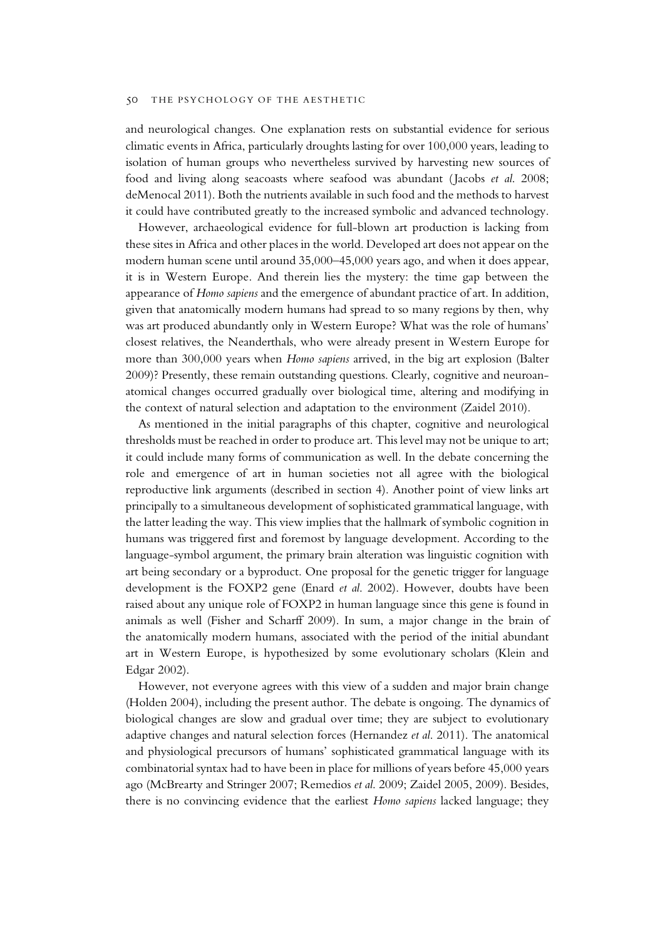#### 50 THE PSYCHOLOGY OF THE AESTHETIC

and neurological changes. One explanation rests on substantial evidence for serious climatic events in Africa, particularly droughts lasting for over 100,000 years, leading to isolation of human groups who nevertheless survived by harvesting new sources of food and living along seacoasts where seafood was abundant (Jacobs et al. 2008; deMenocal 2011). Both the nutrients available in such food and the methods to harvest it could have contributed greatly to the increased symbolic and advanced technology.

However, archaeological evidence for full-blown art production is lacking from these sites in Africa and other places in the world. Developed art does not appear on the modern human scene until around 35,000–45,000 years ago, and when it does appear, it is in Western Europe. And therein lies the mystery: the time gap between the appearance of Homo sapiens and the emergence of abundant practice of art. In addition, given that anatomically modern humans had spread to so many regions by then, why was art produced abundantly only in Western Europe? What was the role of humans' closest relatives, the Neanderthals, who were already present in Western Europe for more than 300,000 years when Homo sapiens arrived, in the big art explosion (Balter 2009)? Presently, these remain outstanding questions. Clearly, cognitive and neuroanatomical changes occurred gradually over biological time, altering and modifying in the context of natural selection and adaptation to the environment (Zaidel 2010).

As mentioned in the initial paragraphs of this chapter, cognitive and neurological thresholds must be reached in order to produce art. This level may not be unique to art; it could include many forms of communication as well. In the debate concerning the role and emergence of art in human societies not all agree with the biological reproductive link arguments (described in section 4). Another point of view links art principally to a simultaneous development of sophisticated grammatical language, with the latter leading the way. This view implies that the hallmark of symbolic cognition in humans was triggered first and foremost by language development. According to the language-symbol argument, the primary brain alteration was linguistic cognition with art being secondary or a byproduct. One proposal for the genetic trigger for language development is the FOXP2 gene (Enard et al. 2002). However, doubts have been raised about any unique role of FOXP2 in human language since this gene is found in animals as well (Fisher and Scharff 2009). In sum, a major change in the brain of the anatomically modern humans, associated with the period of the initial abundant art in Western Europe, is hypothesized by some evolutionary scholars (Klein and Edgar 2002).

However, not everyone agrees with this view of a sudden and major brain change (Holden 2004), including the present author. The debate is ongoing. The dynamics of biological changes are slow and gradual over time; they are subject to evolutionary adaptive changes and natural selection forces (Hernandez et al. 2011). The anatomical and physiological precursors of humans' sophisticated grammatical language with its combinatorial syntax had to have been in place for millions of years before 45,000 years ago (McBrearty and Stringer 2007; Remedios et al. 2009; Zaidel 2005, 2009). Besides, there is no convincing evidence that the earliest *Homo sapiens* lacked language; they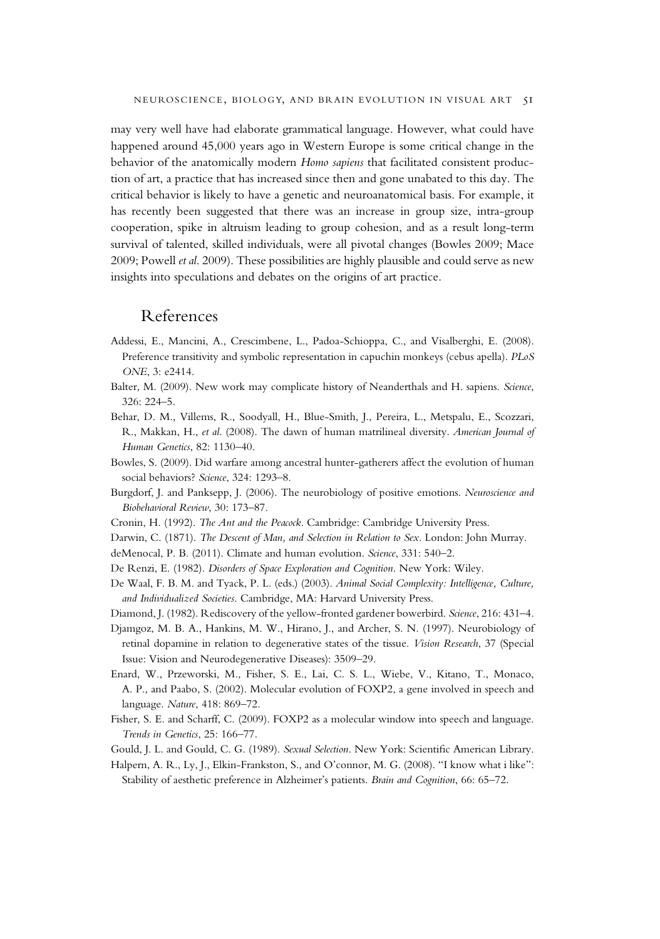may very well have had elaborate grammatical language. However, what could have happened around 45,000 years ago in Western Europe is some critical change in the behavior of the anatomically modern Homo sapiens that facilitated consistent production of art, a practice that has increased since then and gone unabated to this day. The critical behavior is likely to have a genetic and neuroanatomical basis. For example, it has recently been suggested that there was an increase in group size, intra-group cooperation, spike in altruism leading to group cohesion, and as a result long-term survival of talented, skilled individuals, were all pivotal changes (Bowles 2009; Mace 2009; Powell et al. 2009). These possibilities are highly plausible and could serve as new insights into speculations and debates on the origins of art practice.

### References

- Addessi, E., Mancini, A., Crescimbene, L., Padoa-Schioppa, C., and Visalberghi, E. (2008). Preference transitivity and symbolic representation in capuchin monkeys (cebus apella). PLoS ONE, 3: e2414.
- Balter, M. (2009). New work may complicate history of Neanderthals and H. sapiens. Science, 326: 224–5.
- Behar, D. M., Villems, R., Soodyall, H., Blue-Smith, J., Pereira, L., Metspalu, E., Scozzari, R., Makkan, H., et al. (2008). The dawn of human matrilineal diversity. American Journal of Human Genetics, 82: 1130–40.
- Bowles, S. (2009). Did warfare among ancestral hunter-gatherers affect the evolution of human social behaviors? Science, 324: 1293-8.
- Burgdorf, J. and Panksepp, J. (2006). The neurobiology of positive emotions. Neuroscience and Biobehavioral Review, 30: 173–87.
- Cronin, H. (1992). The Ant and the Peacock. Cambridge: Cambridge University Press.
- Darwin, C. (1871). The Descent of Man, and Selection in Relation to Sex. London: John Murray.
- deMenocal, P. B. (2011). Climate and human evolution. Science, 331: 540-2.
- De Renzi, E. (1982). Disorders of Space Exploration and Cognition. New York: Wiley.
- De Waal, F. B. M. and Tyack, P. L. (eds.) (2003). Animal Social Complexity: Intelligence, Culture, and Individualized Societies. Cambridge, MA: Harvard University Press.
- Diamond, J. (1982). Rediscovery of the yellow-fronted gardener bowerbird. Science, 216: 431–4.
- Djamgoz, M. B. A., Hankins, M. W., Hirano, J., and Archer, S. N. (1997). Neurobiology of retinal dopamine in relation to degenerative states of the tissue. Vision Research, 37 (Special Issue: Vision and Neurodegenerative Diseases): 3509–29.
- Enard, W., Przeworski, M., Fisher, S. E., Lai, C. S. L., Wiebe, V., Kitano, T., Monaco, A. P., and Paabo, S. (2002). Molecular evolution of FOXP2, a gene involved in speech and language. Nature, 418: 869–72.
- Fisher, S. E. and Scharff, C. (2009). FOXP2 as a molecular window into speech and language. Trends in Genetics, 25: 166–77.
- Gould, J. L. and Gould, C. G. (1989). Sexual Selection. New York: Scientific American Library.
- Halpern, A. R., Ly, J., Elkin-Frankston, S., and O'connor, M. G. (2008). "I know what i like": Stability of aesthetic preference in Alzheimer's patients. Brain and Cognition, 66: 65–72.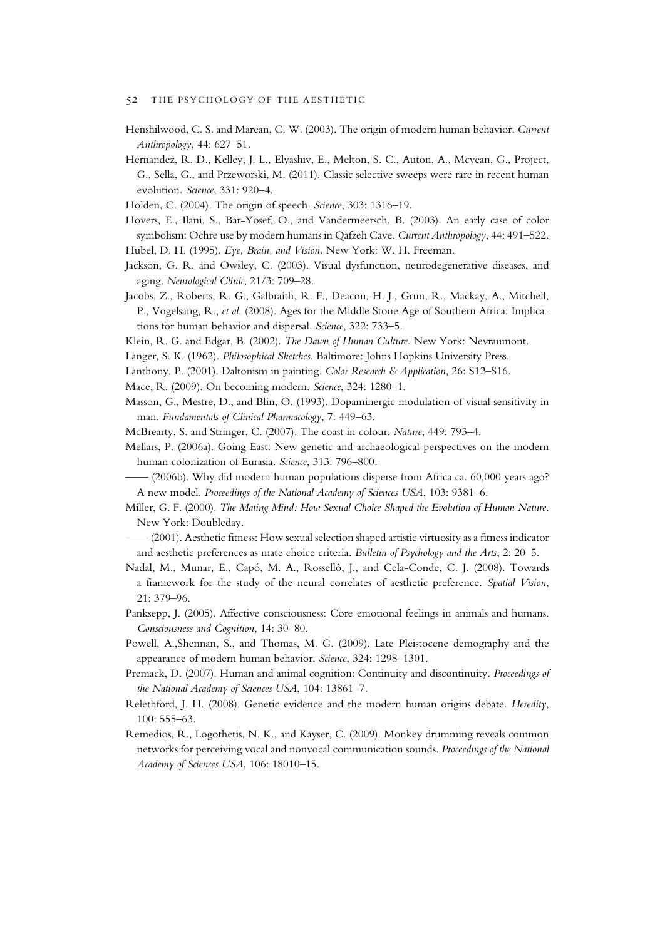- 52 THE PSYCHOLOGY OF THE AESTHETIC
- Henshilwood, C. S. and Marean, C. W. (2003). The origin of modern human behavior. Current Anthropology, 44: 627–51.
- Hernandez, R. D., Kelley, J. L., Elyashiv, E., Melton, S. C., Auton, A., Mcvean, G., Project, G., Sella, G., and Przeworski, M. (2011). Classic selective sweeps were rare in recent human evolution. Science, 331: 920–4.
- Holden, C. (2004). The origin of speech. Science, 303: 1316–19.
- Hovers, E., Ilani, S., Bar-Yosef, O., and Vandermeersch, B. (2003). An early case of color symbolism: Ochre use by modern humans in Qafzeh Cave. Current Anthropology, 44: 491–522.
- Hubel, D. H. (1995). Eye, Brain, and Vision. New York: W. H. Freeman.
- Jackson, G. R. and Owsley, C. (2003). Visual dysfunction, neurodegenerative diseases, and aging. Neurological Clinic, 21/3: 709–28.
- Jacobs, Z., Roberts, R. G., Galbraith, R. F., Deacon, H. J., Grun, R., Mackay, A., Mitchell, P., Vogelsang, R., et al. (2008). Ages for the Middle Stone Age of Southern Africa: Implications for human behavior and dispersal. Science, 322: 733-5.
- Klein, R. G. and Edgar, B. (2002). The Dawn of Human Culture. New York: Nevraumont.
- Langer, S. K. (1962). Philosophical Sketches. Baltimore: Johns Hopkins University Press.
- Lanthony, P. (2001). Daltonism in painting. Color Research & Application, 26: S12–S16.
- Mace, R. (2009). On becoming modern. Science, 324: 1280–1.
- Masson, G., Mestre, D., and Blin, O. (1993). Dopaminergic modulation of visual sensitivity in man. Fundamentals of Clinical Pharmacology, 7: 449–63.
- McBrearty, S. and Stringer, C. (2007). The coast in colour. Nature, 449: 793–4.
- Mellars, P. (2006a). Going East: New genetic and archaeological perspectives on the modern human colonization of Eurasia. Science, 313: 796-800.
- —— (2006b). Why did modern human populations disperse from Africa ca. 60,000 years ago? A new model. Proceedings of the National Academy of Sciences USA, 103: 9381–6.
- Miller, G. F. (2000). The Mating Mind: How Sexual Choice Shaped the Evolution of Human Nature. New York: Doubleday.
- —— (2001). Aesthetic fitness: How sexual selection shaped artistic virtuosity as a fitness indicator and aesthetic preferences as mate choice criteria. Bulletin of Psychology and the Arts, 2: 20–5.
- Nadal, M., Munar, E., Capó, M. A., Rosselló, J., and Cela-Conde, C. J. (2008). Towards a framework for the study of the neural correlates of aesthetic preference. Spatial Vision, 21: 379–96.
- Panksepp, J. (2005). Affective consciousness: Core emotional feelings in animals and humans. Consciousness and Cognition, 14: 30–80.
- Powell, A.,Shennan, S., and Thomas, M. G. (2009). Late Pleistocene demography and the appearance of modern human behavior. Science, 324: 1298-1301.
- Premack, D. (2007). Human and animal cognition: Continuity and discontinuity. Proceedings of the National Academy of Sciences USA, 104: 13861–7.
- Relethford, J. H. (2008). Genetic evidence and the modern human origins debate. Heredity, 100: 555–63.
- Remedios, R., Logothetis, N. K., and Kayser, C. (2009). Monkey drumming reveals common networks for perceiving vocal and nonvocal communication sounds. Proceedings of the National Academy of Sciences USA, 106: 18010–15.